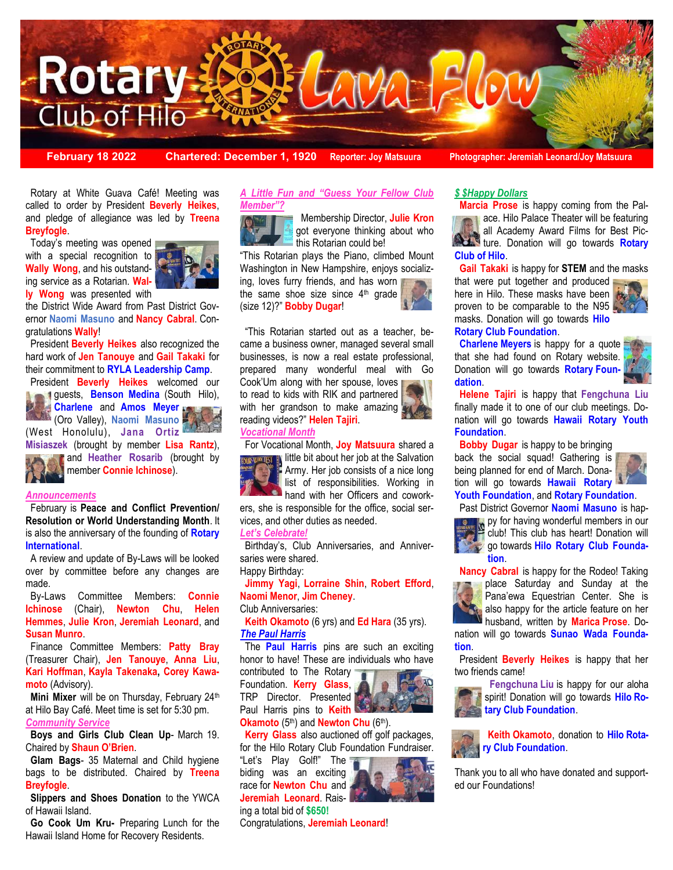

**February 18 2022 Chartered: December 1, 1920 Reporter: Joy Matsuura Photographer: Jeremiah Leonard/Joy Matsuura**

 Rotary at White Guava Café! Meeting was called to order by President **Beverly Heikes**, and pledge of allegiance was led by **Treena Breyfogle**.

 Today's meeting was opened with a special recognition to **Wally Wong**, and his outstanding service as a Rotarian. **Wally Wong** was presented with



the District Wide Award from Past District Governor **Naomi Masuno** and **Nancy Cabral**. Congratulations **Wally**!

 President **Beverly Heikes** also recognized the hard work of **Jen Tanouye** and **Gail Takaki** for their commitment to **RYLA Leadership Camp**.

 President **Beverly Heikes** welcomed our guests, **Benson Medina** (South Hilo),



and **Heather Rosarib** (brought by member **Connie Ichinose**).

#### *Announcements*

 February is **Peace and Conflict Prevention/ Resolution or World Understanding Month**. It is also the anniversary of the founding of **Rotary International**.

 A review and update of By-Laws will be looked over by committee before any changes are made.

 By-Laws Committee Members: **Connie Ichinose** (Chair), **Newton Chu**, **Helen Hemmes**, **Julie Kron**, **Jeremiah Leonard**, and **Susan Munro**.

 Finance Committee Members: **Patty Bray**  (Treasurer Chair), **Jen Tanouye**, **Anna Liu**, **Kari Hoffman**, **Kayla Takenaka, Corey Kawamoto** (Advisory).

**Mini Mixer** will be on Thursday, February 24th at Hilo Bay Café. Meet time is set for 5:30 pm. *Community Service*

 **Boys and Girls Club Clean Up**- March 19. Chaired by **Shaun O'Brien**.

 **Glam Bags**- 35 Maternal and Child hygiene bags to be distributed. Chaired by **Treena Breyfogle**.

 **Slippers and Shoes Donation** to the YWCA of Hawaii Island.

 **Go Cook Um Kru-** Preparing Lunch for the Hawaii Island Home for Recovery Residents.

#### *A Little Fun and "Guess Your Fellow Club Member"?*

 Membership Director, **Julie Kron**  got everyone thinking about who this Rotarian could be!

"This Rotarian plays the Piano, climbed Mount Washington in New Hampshire, enjoys socializing, loves furry friends, and has worn

the same shoe size since  $4<sup>th</sup>$  grade (size 12)?" **Bobby Dugar**!



 "This Rotarian started out as a teacher, became a business owner, managed several small businesses, is now a real estate professional, prepared many wonderful meal with Go Cook'Um along with her spouse, loves

For Vocational Month, **Joy Matsuura** shared a

Birthday's, Club Anniversaries, and Anniver-

**Jimmy Yagi**, **Lorraine Shin**, **Robert Efford**,

**Keith Okamoto** (6 yrs) and **Ed Hara** (35 yrs).

 The **Paul Harris** pins are such an exciting honor to have! These are individuals who have

 **Kerry Glass** also auctioned off golf packages, for the Hilo Rotary Club Foundation Fundraiser.

little bit about her job at the Salvation Army. Her job consists of a nice long list of responsibilities. Working in **hand with her Officers and cowork**ers, she is responsible for the office, social ser-

to read to kids with RIK and partnered with her grandson to make amazing reading videos?" **Helen Tajiri**. *Vocational Month*

vices, and other duties as needed.

*Let's Celebrate!* 

saries were shared. Happy Birthday:

Club Anniversaries:

*The Paul Harris* 

**Naomi Menor**, **Jim Cheney**.

contributed to The Rotary Foundation. **Kerry Glass**, TRP Director. Presented Paul Harris pins to **Keith Okamoto** (5<sup>th</sup>) and **Newton Chu** (6<sup>th</sup>).

"Let's Play Golf!" The

ing a total bid of **\$650!** 



# *\$ \$Happy Dollars*

 **Marcia Prose** is happy coming from the Palace. Hilo Palace Theater will be featuring all Academy Award Films for Best Pic**ture.** Donation will go towards **Rotary Club of Hilo**.

**Gail Takaki** is happy for **STEM** and the masks

that were put together and produced here in Hilo. These masks have been proven to be comparable to the N95 masks. Donation will go towards **Hilo** 



# **Rotary Club Foundation**.

**Charlene Meyers** is happy for a quote that she had found on Rotary website. Donation will go towards **Rotary Foundation**.



 **Helene Tajiri** is happy that **Fengchuna Liu**  finally made it to one of our club meetings. Donation will go towards **Hawaii Rotary Youth Foundation**.

 **Bobby Dugar** is happy to be bringing back the social squad! Gathering is being planned for end of March. Donation will go towards **Hawaii Rotary** 



**Youth Foundation**, and **Rotary Foundation**. Past District Governor **Naomi Masuno** is hap-



py for having wonderful members in our club! This club has heart! Donation will go towards **Hilo Rotary Club Founda-** $\ddot{v}$ **tion**.





place Saturday and Sunday at the Pana'ewa Equestrian Center. She is also happy for the article feature on her husband, written by **Marica Prose**. Do-

nation will go towards **Sunao Wada Foundation**.

 President **Beverly Heikes** is happy that her two friends came!



 **Fengchuna Liu** is happy for our aloha spirit! Donation will go towards **Hilo Ro-**



Thank you to all who have donated and supported our Foundations!



biding was an exciting race for **Newton Chu** and **Jeremiah Leonard**. Rais-

Congratulations, **Jeremiah Leonard**!